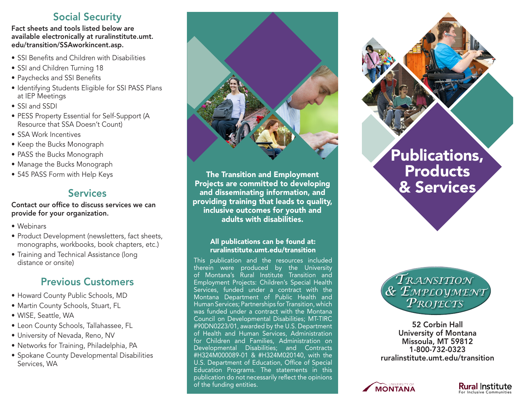## Social Security

Fact sheets and tools listed below are available electronically at ruralinstitute.umt. edu/transition/SSAworkincent.asp.

- SSI Benefits and Children with Disabilities
- SSI and Children Turning 18
- Paychecks and SSI Benefits
- Identifying Students Eligible for SSI PASS Plans at IEP Meetings
- SSI and SSDI
- PESS Property Essential for Self-Support (A Resource that SSA Doesn't Count)
- SSA Work Incentives
- Keep the Bucks Monograph
- PASS the Bucks Monograph
- Manage the Bucks Monograph
- 545 PASS Form with Help Keys

### Services

#### Contact our office to discuss services we can provide for your organization.

- Webinars
- Product Development (newsletters, fact sheets, monographs, workbooks, book chapters, etc.)
- Training and Technical Assistance (long distance or onsite)

## Previous Customers

- Howard County Public Schools, MD
- Martin County Schools, Stuart, FL
- WISE, Seattle, WA
- Leon County Schools, Tallahassee, FL
- University of Nevada, Reno, NV
- Networks for Training, Philadelphia, PA
- Spokane County Developmental Disabilities Services, WA



The Transition and Employment Projects are committed to developing and disseminating information, and providing training that leads to quality, inclusive outcomes for youth and adults with disabilities.

#### All publications can be found at: ruralinstitute.umt.edu/transition

This publication and the resources included therein were produced by the University of Montana's Rural Institute Transition and Employment Projects: Children's Special Health Services, funded under a contract with the Montana Department of Public Health and Human Services; Partnerships for Transition, which was funded under a contract with the Montana Council on Developmental Disabilities; MT-TIRC #90DN0223/01, awarded by the U.S. Department of Health and Human Services, Administration for Children and Families, Administration on Developmental Disabilities; and Contracts #H324M000089-01 & #H324M020140, with the U.S. Department of Education, Office of Special Education Programs. The statements in this publication do not necessarily reflect the opinions of the funding entities.





52 Corbin Hall University of Montana Missoula, MT 59812 1-800-732-0323 [ruralinstitute.umt.edu/transition](http://ruralinstitute.umt.edu/transition)